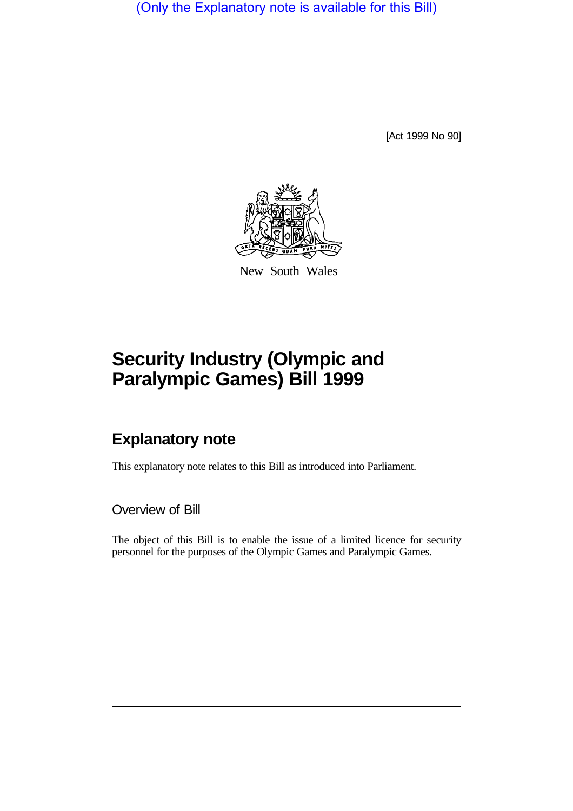(Only the Explanatory note is available for this Bill)

[Act 1999 No 90]



New South Wales

# **Security Industry (Olympic and Paralympic Games) Bill 1999**

# **Explanatory note**

This explanatory note relates to this Bill as introduced into Parliament.

Overview of Bill

The object of this Bill is to enable the issue of a limited licence for security personnel for the purposes of the Olympic Games and Paralympic Games.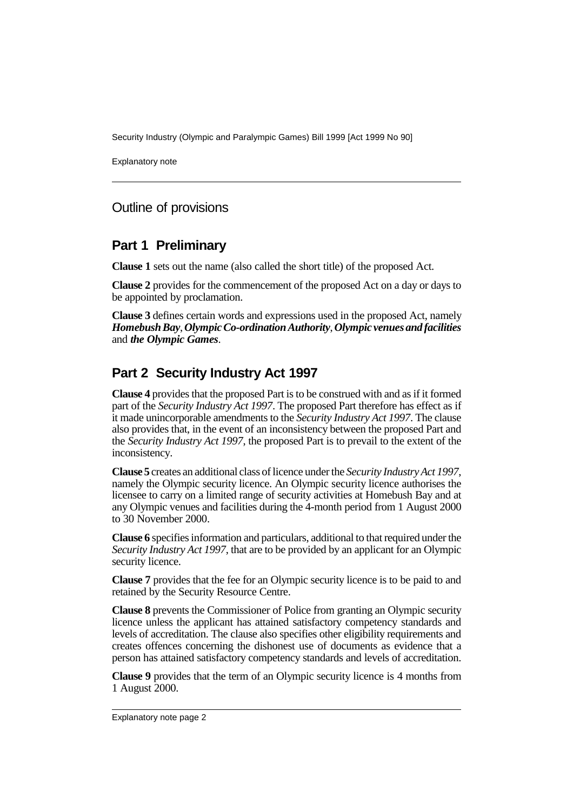Security Industry (Olympic and Paralympic Games) Bill 1999 [Act 1999 No 90]

Explanatory note

#### Outline of provisions

#### **Part 1 Preliminary**

**Clause 1** sets out the name (also called the short title) of the proposed Act.

**Clause 2** provides for the commencement of the proposed Act on a day or days to be appointed by proclamation.

**Clause 3** defines certain words and expressions used in the proposed Act, namely *Homebush Bay*, *Olympic Co-ordination Authority*, *Olympic venues and facilities* and *the Olympic Games*.

### **Part 2 Security Industry Act 1997**

**Clause 4** provides that the proposed Part is to be construed with and as if it formed part of the *Security Industry Act 1997*. The proposed Part therefore has effect as if it made unincorporable amendments to the *Security Industry Act 1997*. The clause also provides that, in the event of an inconsistency between the proposed Part and the *Security Industry Act 1997*, the proposed Part is to prevail to the extent of the inconsistency.

**Clause 5** creates an additional class of licence under the *Security Industry Act 1997*, namely the Olympic security licence. An Olympic security licence authorises the licensee to carry on a limited range of security activities at Homebush Bay and at any Olympic venues and facilities during the 4-month period from 1 August 2000 to 30 November 2000.

**Clause 6** specifies information and particulars, additional to that required under the *Security Industry Act 1997*, that are to be provided by an applicant for an Olympic security licence.

**Clause 7** provides that the fee for an Olympic security licence is to be paid to and retained by the Security Resource Centre.

**Clause 8** prevents the Commissioner of Police from granting an Olympic security licence unless the applicant has attained satisfactory competency standards and levels of accreditation. The clause also specifies other eligibility requirements and creates offences concerning the dishonest use of documents as evidence that a person has attained satisfactory competency standards and levels of accreditation.

**Clause 9** provides that the term of an Olympic security licence is 4 months from 1 August 2000.

Explanatory note page 2